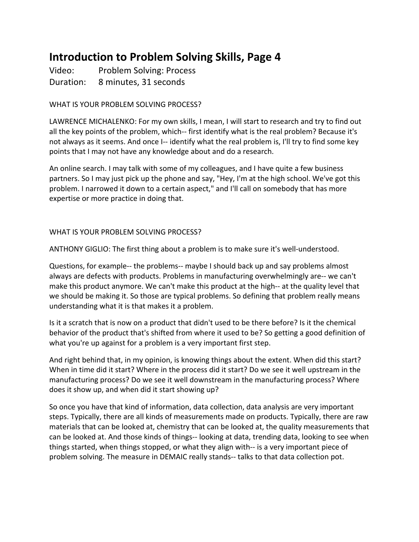# **Introduction to Problem Solving Skills, Page 4**

Video: Problem Solving: Process Duration: 8 minutes, 31 seconds

### WHAT IS YOUR PROBLEM SOLVING PROCESS?

LAWRENCE MICHALENKO: For my own skills, I mean, I will start to research and try to find out all the key points of the problem, which-- first identify what is the real problem? Because it's not always as it seems. And once I-- identify what the real problem is, I'll try to find some key points that I may not have any knowledge about and do a research.

An online search. I may talk with some of my colleagues, and I have quite a few business partners. So I may just pick up the phone and say, "Hey, I'm at the high school. We've got this problem. I narrowed it down to a certain aspect," and I'll call on somebody that has more expertise or more practice in doing that.

#### WHAT IS YOUR PROBLEM SOLVING PROCESS?

ANTHONY GIGLIO: The first thing about a problem is to make sure it's well-understood.

Questions, for example-- the problems-- maybe I should back up and say problems almost always are defects with products. Problems in manufacturing overwhelmingly are-- we can't make this product anymore. We can't make this product at the high-- at the quality level that we should be making it. So those are typical problems. So defining that problem really means understanding what it is that makes it a problem.

Is it a scratch that is now on a product that didn't used to be there before? Is it the chemical behavior of the product that's shifted from where it used to be? So getting a good definition of what you're up against for a problem is a very important first step.

And right behind that, in my opinion, is knowing things about the extent. When did this start? When in time did it start? Where in the process did it start? Do we see it well upstream in the manufacturing process? Do we see it well downstream in the manufacturing process? Where does it show up, and when did it start showing up?

So once you have that kind of information, data collection, data analysis are very important steps. Typically, there are all kinds of measurements made on products. Typically, there are raw materials that can be looked at, chemistry that can be looked at, the quality measurements that can be looked at. And those kinds of things-- looking at data, trending data, looking to see when things started, when things stopped, or what they align with-- is a very important piece of problem solving. The measure in DEMAIC really stands-- talks to that data collection pot.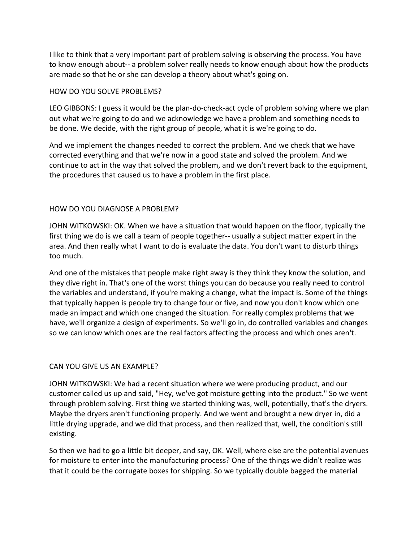I like to think that a very important part of problem solving is observing the process. You have to know enough about-- a problem solver really needs to know enough about how the products are made so that he or she can develop a theory about what's going on.

#### HOW DO YOU SOLVE PROBLEMS?

LEO GIBBONS: I guess it would be the plan-do-check-act cycle of problem solving where we plan out what we're going to do and we acknowledge we have a problem and something needs to be done. We decide, with the right group of people, what it is we're going to do.

And we implement the changes needed to correct the problem. And we check that we have corrected everything and that we're now in a good state and solved the problem. And we continue to act in the way that solved the problem, and we don't revert back to the equipment, the procedures that caused us to have a problem in the first place.

#### HOW DO YOU DIAGNOSE A PROBLEM?

JOHN WITKOWSKI: OK. When we have a situation that would happen on the floor, typically the first thing we do is we call a team of people together-- usually a subject matter expert in the area. And then really what I want to do is evaluate the data. You don't want to disturb things too much.

And one of the mistakes that people make right away is they think they know the solution, and they dive right in. That's one of the worst things you can do because you really need to control the variables and understand, if you're making a change, what the impact is. Some of the things that typically happen is people try to change four or five, and now you don't know which one made an impact and which one changed the situation. For really complex problems that we have, we'll organize a design of experiments. So we'll go in, do controlled variables and changes so we can know which ones are the real factors affecting the process and which ones aren't.

## CAN YOU GIVE US AN EXAMPLE?

JOHN WITKOWSKI: We had a recent situation where we were producing product, and our customer called us up and said, "Hey, we've got moisture getting into the product." So we went through problem solving. First thing we started thinking was, well, potentially, that's the dryers. Maybe the dryers aren't functioning properly. And we went and brought a new dryer in, did a little drying upgrade, and we did that process, and then realized that, well, the condition's still existing. 

So then we had to go a little bit deeper, and say, OK. Well, where else are the potential avenues for moisture to enter into the manufacturing process? One of the things we didn't realize was that it could be the corrugate boxes for shipping. So we typically double bagged the material